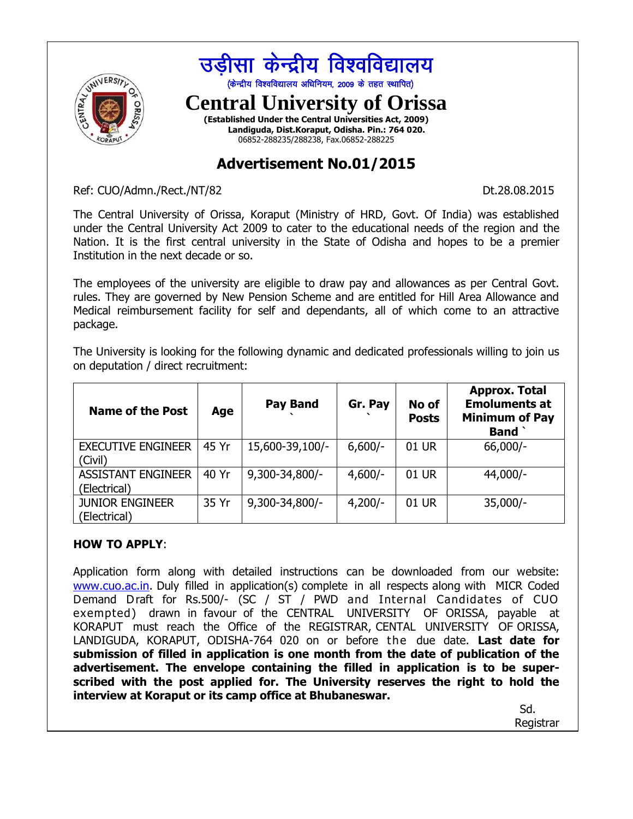

## **Advertisement No.01/2015**

Ref: CUO/Admn./Rect./NT/82 Dt.28.08.2015

The Central University of Orissa, Koraput (Ministry of HRD, Govt. Of India) was established under the Central University Act 2009 to cater to the educational needs of the region and the Nation. It is the first central university in the State of Odisha and hopes to be a premier Institution in the next decade or so.

The employees of the university are eligible to draw pay and allowances as per Central Govt. rules. They are governed by New Pension Scheme and are entitled for Hill Area Allowance and Medical reimbursement facility for self and dependants, all of which come to an attractive package.

The University is looking for the following dynamic and dedicated professionals willing to join us on deputation / direct recruitment:

| <b>Name of the Post</b>                   | Age   | <b>Pay Band</b> | Gr. Pay   | No of<br><b>Posts</b> | <b>Approx. Total</b><br><b>Emoluments at</b><br><b>Minimum of Pay</b><br><b>Band</b> |
|-------------------------------------------|-------|-----------------|-----------|-----------------------|--------------------------------------------------------------------------------------|
| <b>EXECUTIVE ENGINEER</b><br>(Civil)      | 45 Yr | 15,600-39,100/- | $6,600/-$ | 01 UR                 | $66,000/-$                                                                           |
| <b>ASSISTANT ENGINEER</b><br>(Electrical) | 40 Yr | 9,300-34,800/-  | $4,600/-$ | 01 UR                 | $44,000/-$                                                                           |
| <b>JUNIOR ENGINEER</b><br>(Electrical)    | 35 Yr | 9,300-34,800/-  | $4,200/-$ | 01 UR                 | $35,000/-$                                                                           |

## **HOW TO APPLY**:

Application form along with detailed instructions can be downloaded from our website: [www.cuo.ac.in.](http://www.cuo.ac.in/) Duly filled in application(s) complete in all respects along with MICR Coded Demand Draft for Rs.500/- (SC / ST / PWD and Internal Candidates of CUO exempted) drawn in favour of the CENTRAL UNIVERSITY OF ORISSA, payable at KORAPUT must reach the Office of the REGISTRAR, CENTAL UNIVERSITY OF ORISSA, LANDIGUDA, KORAPUT, ODISHA-764 020 on or before the due date. **Last date for submission of filled in application is one month from the date of publication of the advertisement. The envelope containing the filled in application is to be superscribed with the post applied for. The University reserves the right to hold the interview at Koraput or its camp office at Bhubaneswar.**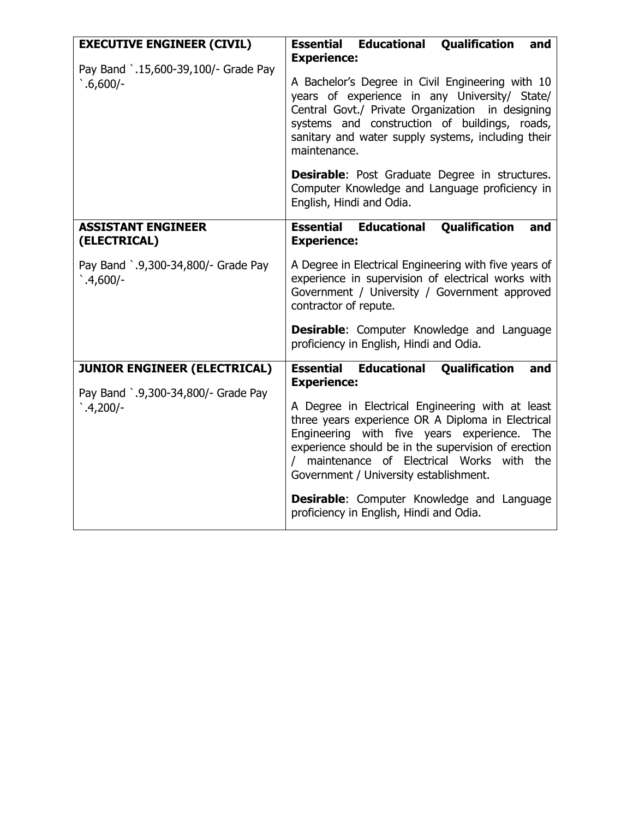| <b>EXECUTIVE ENGINEER (CIVIL)</b>                                          | <b>Essential Educational Qualification</b><br>and                                                                                                                                                                                                                                                                                                           |  |  |  |  |
|----------------------------------------------------------------------------|-------------------------------------------------------------------------------------------------------------------------------------------------------------------------------------------------------------------------------------------------------------------------------------------------------------------------------------------------------------|--|--|--|--|
| Pay Band `.15,600-39,100/- Grade Pay<br>$.6,600/-$                         | <b>Experience:</b><br>A Bachelor's Degree in Civil Engineering with 10<br>years of experience in any University/ State/<br>Central Govt./ Private Organization in designing<br>systems and construction of buildings, roads,<br>sanitary and water supply systems, including their<br>maintenance.<br><b>Desirable:</b> Post Graduate Degree in structures. |  |  |  |  |
|                                                                            | Computer Knowledge and Language proficiency in<br>English, Hindi and Odia.                                                                                                                                                                                                                                                                                  |  |  |  |  |
| <b>ASSISTANT ENGINEER</b><br>(ELECTRICAL)                                  | <b>Essential Educational Qualification</b><br>and<br><b>Experience:</b>                                                                                                                                                                                                                                                                                     |  |  |  |  |
| Pay Band `.9,300-34,800/- Grade Pay<br>$.4,600/-$                          | A Degree in Electrical Engineering with five years of<br>experience in supervision of electrical works with<br>Government / University / Government approved<br>contractor of repute.                                                                                                                                                                       |  |  |  |  |
|                                                                            | <b>Desirable:</b> Computer Knowledge and Language<br>proficiency in English, Hindi and Odia.                                                                                                                                                                                                                                                                |  |  |  |  |
| <b>JUNIOR ENGINEER (ELECTRICAL)</b><br>Pay Band `.9,300-34,800/- Grade Pay | <b>Essential Educational</b><br><b>Qualification</b><br>and<br><b>Experience:</b>                                                                                                                                                                                                                                                                           |  |  |  |  |
| $.4,200/-$                                                                 | A Degree in Electrical Engineering with at least<br>three years experience OR A Diploma in Electrical<br>Engineering with five years experience.<br>The<br>experience should be in the supervision of erection<br>/ maintenance of Electrical Works with the<br>Government / University establishment.                                                      |  |  |  |  |
|                                                                            | <b>Desirable:</b> Computer Knowledge and Language<br>proficiency in English, Hindi and Odia.                                                                                                                                                                                                                                                                |  |  |  |  |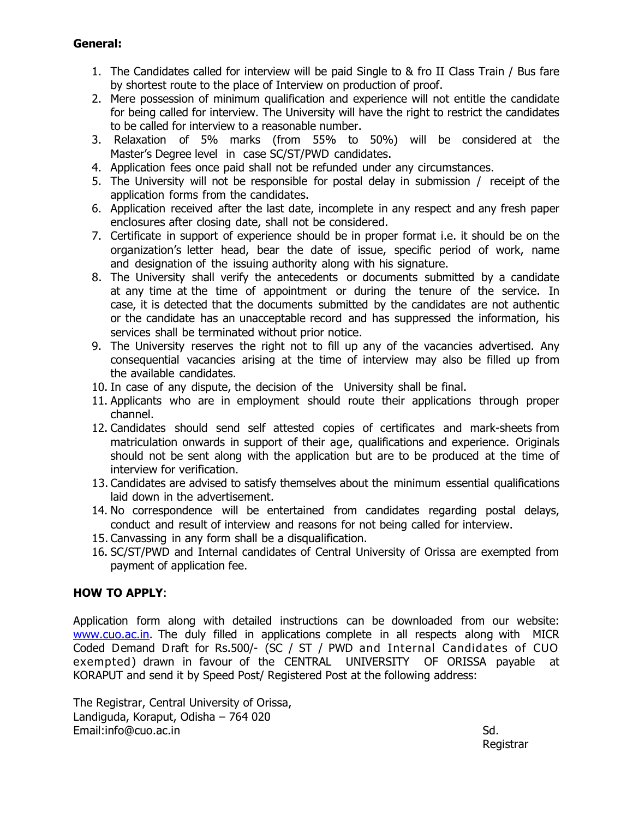## **General:**

- 1. The Candidates called for interview will be paid Single to & fro II Class Train / Bus fare by shortest route to the place of Interview on production of proof.
- 2. Mere possession of minimum qualification and experience will not entitle the candidate for being called for interview. The University will have the right to restrict the candidates to be called for interview to a reasonable number.
- 3. Relaxation of 5% marks (from 55% to 50%) will be considered at the Master's Degree level in case SC/ST/PWD candidates.
- 4. Application fees once paid shall not be refunded under any circumstances.
- 5. The University will not be responsible for postal delay in submission / receipt of the application forms from the candidates.
- 6. Application received after the last date, incomplete in any respect and any fresh paper enclosures after closing date, shall not be considered.
- 7. Certificate in support of experience should be in proper format i.e. it should be on the organization's letter head, bear the date of issue, specific period of work, name and designation of the issuing authority along with his signature.
- 8. The University shall verify the antecedents or documents submitted by a candidate at any time at the time of appointment or during the tenure of the service. In case, it is detected that the documents submitted by the candidates are not authentic or the candidate has an unacceptable record and has suppressed the information, his services shall be terminated without prior notice.
- 9. The University reserves the right not to fill up any of the vacancies advertised. Any consequential vacancies arising at the time of interview may also be filled up from the available candidates.
- 10. In case of any dispute, the decision of the University shall be final.
- 11. Applicants who are in employment should route their applications through proper channel.
- 12. Candidates should send self attested copies of certificates and mark-sheets from matriculation onwards in support of their age, qualifications and experience. Originals should not be sent along with the application but are to be produced at the time of interview for verification.
- 13. Candidates are advised to satisfy themselves about the minimum essential qualifications laid down in the advertisement.
- 14. No correspondence will be entertained from candidates regarding postal delays, conduct and result of interview and reasons for not being called for interview.
- 15. Canvassing in any form shall be a disqualification.
- 16. SC/ST/PWD and Internal candidates of Central University of Orissa are exempted from payment of application fee.

## **HOW TO APPLY**:

Application form along with detailed instructions can be downloaded from our website: [www.cuo.ac.in.](http://www.cuo.ac.in/) The duly filled in applications complete in all respects along with MICR Coded Demand Draft for Rs.500/- (SC / ST / PWD and Internal Candidates of CUO exempted) drawn in favour of the CENTRAL UNIVERSITY OF ORISSA payable at KORAPUT and send it by Speed Post/ Registered Post at the following address:

The Registrar, Central University of Orissa, Landiguda, Koraput, Odisha – 764 020 Email:info@cuo.ac.in Sd.

Registrar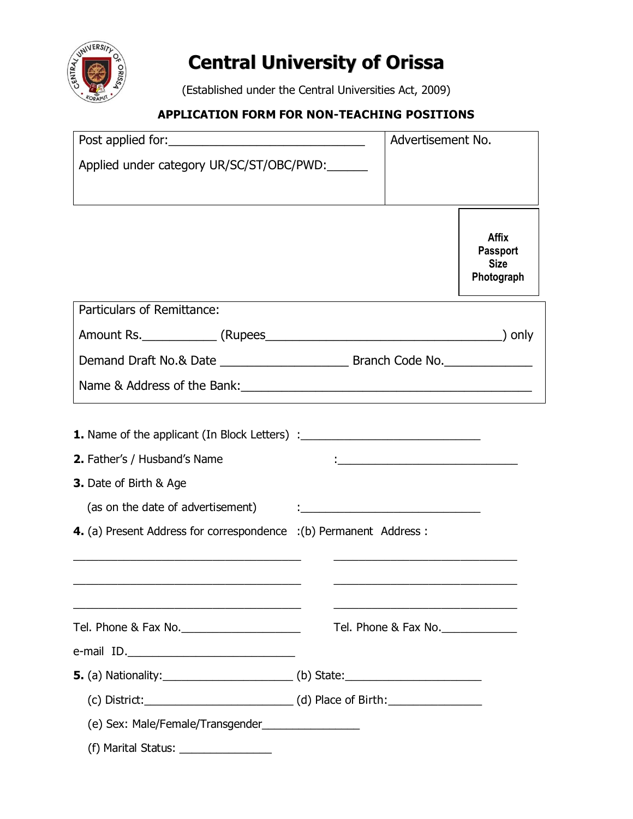

# **Central University of Orissa**

(Established under the Central Universities Act, 2009)

## **APPLICATION FORM FOR NON-TEACHING POSITIONS**

|                                                                                                                                                                                                                                | Advertisement No. |                      |                                                              |
|--------------------------------------------------------------------------------------------------------------------------------------------------------------------------------------------------------------------------------|-------------------|----------------------|--------------------------------------------------------------|
| Applied under category UR/SC/ST/OBC/PWD:                                                                                                                                                                                       |                   |                      |                                                              |
|                                                                                                                                                                                                                                |                   |                      | <b>Affix</b><br><b>Passport</b><br><b>Size</b><br>Photograph |
| Particulars of Remittance:                                                                                                                                                                                                     |                   |                      |                                                              |
|                                                                                                                                                                                                                                |                   |                      |                                                              |
|                                                                                                                                                                                                                                |                   |                      |                                                              |
|                                                                                                                                                                                                                                |                   |                      |                                                              |
| <b>1.</b> Name of the applicant (In Block Letters) : _________________________________<br>2. Father's / Husband's Name<br><b>3.</b> Date of Birth & Age<br>4. (a) Present Address for correspondence : (b) Permanent Address : |                   |                      |                                                              |
|                                                                                                                                                                                                                                |                   | Tel. Phone & Fax No. |                                                              |
|                                                                                                                                                                                                                                |                   |                      |                                                              |
|                                                                                                                                                                                                                                |                   |                      |                                                              |
| (e) Sex: Male/Female/Transgender__________________                                                                                                                                                                             |                   |                      |                                                              |
| (f) Marital Status: $\frac{1}{2}$ Marital Status: $\frac{1}{2}$ Marital Status: $\frac{1}{2}$                                                                                                                                  |                   |                      |                                                              |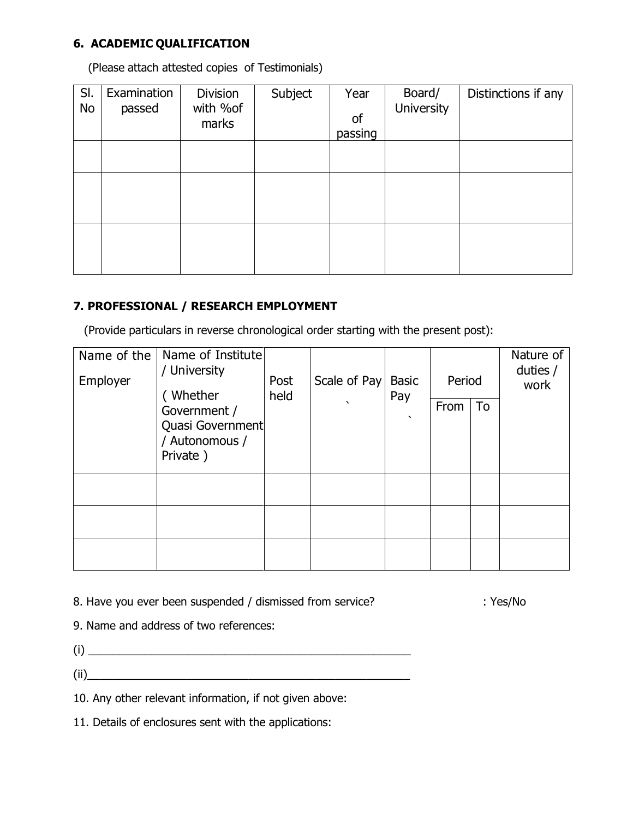## **6. ACADEMIC QUALIFICATION**

(Please attach attested copies of Testimonials)

| SI.<br>No | Examination<br>passed | Division<br>with %of<br>marks | Subject | Year<br>of<br>passing | Board/<br><b>University</b> | Distinctions if any |
|-----------|-----------------------|-------------------------------|---------|-----------------------|-----------------------------|---------------------|
|           |                       |                               |         |                       |                             |                     |
|           |                       |                               |         |                       |                             |                     |
|           |                       |                               |         |                       |                             |                     |
|           |                       |                               |         |                       |                             |                     |

## **7. PROFESSIONAL / RESEARCH EMPLOYMENT**

(Provide particulars in reverse chronological order starting with the present post):

| Name of the<br>Employer | Name of Institute<br>/ University<br>(Whether  | Post<br>held | Scale of Pay   Basic | Pay       | Period |    | Nature of<br>duties $/$<br>work |
|-------------------------|------------------------------------------------|--------------|----------------------|-----------|--------|----|---------------------------------|
|                         | Government /                                   |              | $\cdot$              | $\lambda$ | From   | To |                                 |
|                         | Quasi Government<br>/ Autonomous /<br>Private) |              |                      |           |        |    |                                 |
|                         |                                                |              |                      |           |        |    |                                 |
|                         |                                                |              |                      |           |        |    |                                 |
|                         |                                                |              |                      |           |        |    |                                 |

8. Have you ever been suspended / dismissed from service? : Yes/No

9. Name and address of two references:

(i) \_\_\_\_\_\_\_\_\_\_\_\_\_\_\_\_\_\_\_\_\_\_\_\_\_\_\_\_\_\_\_\_\_\_\_\_\_\_\_\_\_\_\_\_\_\_\_\_\_\_\_\_

(ii)\_\_\_\_\_\_\_\_\_\_\_\_\_\_\_\_\_\_\_\_\_\_\_\_\_\_\_\_\_\_\_\_\_\_\_\_\_\_\_\_\_\_\_\_\_\_\_\_\_\_\_\_

10. Any other relevant information, if not given above:

11. Details of enclosures sent with the applications: